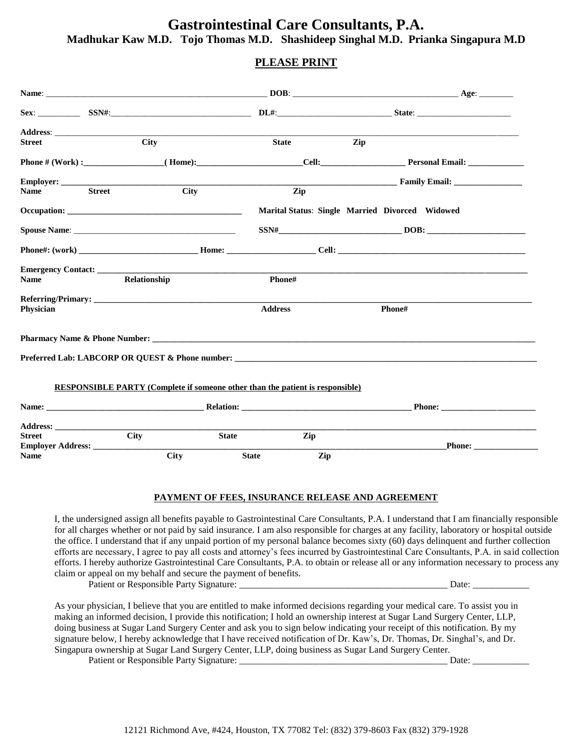### **PLEASE PRINT**

| <b>Street</b> |               | <b>City</b>  |                                                                                                                                                                                                                                         | <b>State</b> | Zip                                                                                                                                                                                                                                                                                                                                                                                                                                                                              |
|---------------|---------------|--------------|-----------------------------------------------------------------------------------------------------------------------------------------------------------------------------------------------------------------------------------------|--------------|----------------------------------------------------------------------------------------------------------------------------------------------------------------------------------------------------------------------------------------------------------------------------------------------------------------------------------------------------------------------------------------------------------------------------------------------------------------------------------|
|               |               |              |                                                                                                                                                                                                                                         |              |                                                                                                                                                                                                                                                                                                                                                                                                                                                                                  |
|               |               |              |                                                                                                                                                                                                                                         |              | <b>Example 2.1 Family Email:</b> Family Email:                                                                                                                                                                                                                                                                                                                                                                                                                                   |
| <b>Name</b>   | <b>Street</b> | City         |                                                                                                                                                                                                                                         | Zip          |                                                                                                                                                                                                                                                                                                                                                                                                                                                                                  |
|               |               |              |                                                                                                                                                                                                                                         |              | Marital Status: Single Married Divorced Widowed                                                                                                                                                                                                                                                                                                                                                                                                                                  |
|               |               |              |                                                                                                                                                                                                                                         |              | $SSN# \begin{tabular}{@{}c@{}} \hline \multicolumn{3}{c}{} & DOB: & \multicolumn{3}{c}{} & \multicolumn{3}{c}{} & \multicolumn{3}{c}{} \\ \multicolumn{3}{c}{} & SON# \begin{tabular}{@{}c@{}}{} \multicolumn{3}{c}{} & \multicolumn{3}{c}{} & \multicolumn{3}{c}{} \\ \multicolumn{3}{c}{} & \multicolumn{3}{c}{} & \multicolumn{3}{c}{} & \multicolumn{3}{c}{} \\ \multicolumn{3}{c}{} & \multicolumn{3}{c}{} & \multicolumn{3}{c}{} & \multicolumn{3}{c}{} \\ \multicolumn{3$ |
|               |               |              |                                                                                                                                                                                                                                         |              |                                                                                                                                                                                                                                                                                                                                                                                                                                                                                  |
|               |               |              |                                                                                                                                                                                                                                         |              |                                                                                                                                                                                                                                                                                                                                                                                                                                                                                  |
| <b>Name</b>   |               | Relationship |                                                                                                                                                                                                                                         | Phone#       |                                                                                                                                                                                                                                                                                                                                                                                                                                                                                  |
| Physician     |               |              | <b>Address</b>                                                                                                                                                                                                                          |              | Phone#                                                                                                                                                                                                                                                                                                                                                                                                                                                                           |
|               |               |              | <b>Pharmacy Name &amp; Phone Number:</b> Letter and the set of the set of the set of the set of the set of the set of the set of the set of the set of the set of the set of the set of the set of the set of the set of the set of the |              | Preferred Lab: LABCORP OR QUEST & Phone number: _________________________________                                                                                                                                                                                                                                                                                                                                                                                                |
|               |               |              | <b>RESPONSIBLE PARTY (Complete if someone other than the patient is responsible)</b>                                                                                                                                                    |              | <b>Phone:</b>                                                                                                                                                                                                                                                                                                                                                                                                                                                                    |
|               |               |              |                                                                                                                                                                                                                                         |              |                                                                                                                                                                                                                                                                                                                                                                                                                                                                                  |
| <b>Street</b> |               | City         | <b>State</b> State State State State State State State State State State State State State State State State State State State State State State State State State State State State State State State State State State State Stat     | Zip          |                                                                                                                                                                                                                                                                                                                                                                                                                                                                                  |
| <b>Name</b>   |               | <b>City</b>  | <b>State</b>                                                                                                                                                                                                                            | Zip          | <b>Phone:</b>                                                                                                                                                                                                                                                                                                                                                                                                                                                                    |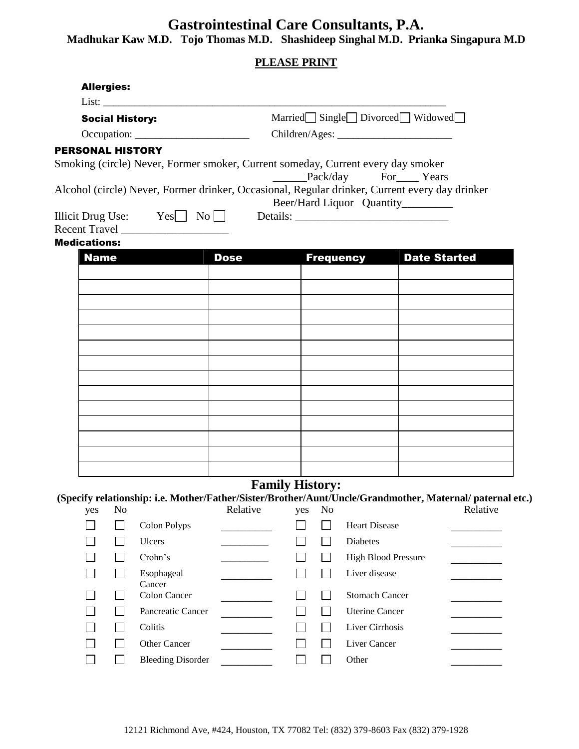|                        | <b>PLEASE PRINT</b>                                                                   |  |  |  |  |  |
|------------------------|---------------------------------------------------------------------------------------|--|--|--|--|--|
| <b>Allergies:</b>      |                                                                                       |  |  |  |  |  |
| List:                  |                                                                                       |  |  |  |  |  |
| <b>Social History:</b> | Married Single Divorced Widowed                                                       |  |  |  |  |  |
| Occupation:            |                                                                                       |  |  |  |  |  |
| <b>SONAL HISTORY</b>   |                                                                                       |  |  |  |  |  |
|                        | ing (circle) Never, Former smoker, Current someday, Current every day smoker          |  |  |  |  |  |
|                        | Pack/day For Years                                                                    |  |  |  |  |  |
|                        | ol (circle) Never, Former drinker, Occasional, Regular drinker, Current every day dri |  |  |  |  |  |

| <b>PERSONAL HISTORY</b>                                                                        |             |                                    |                     |  |  |  |
|------------------------------------------------------------------------------------------------|-------------|------------------------------------|---------------------|--|--|--|
| Smoking (circle) Never, Former smoker, Current someday, Current every day smoker               |             |                                    |                     |  |  |  |
|                                                                                                |             | Pack/day For Years                 |                     |  |  |  |
| Alcohol (circle) Never, Former drinker, Occasional, Regular drinker, Current every day drinker |             |                                    |                     |  |  |  |
|                                                                                                |             | Beer/Hard Liquor Quantity_________ |                     |  |  |  |
| $\text{lliicit Drug Use:} \qquad \text{Yes} \qquad \text{No} \qquad \qquad \text{Details:}$    |             |                                    |                     |  |  |  |
| Recent Travel ___________________                                                              |             |                                    |                     |  |  |  |
| <b>Medications:</b>                                                                            |             |                                    |                     |  |  |  |
| <b>Name</b>                                                                                    | <b>Dose</b> | <b>Frequency</b>                   | <b>Date Started</b> |  |  |  |
|                                                                                                |             |                                    |                     |  |  |  |
|                                                                                                |             |                                    |                     |  |  |  |
|                                                                                                |             |                                    |                     |  |  |  |
|                                                                                                |             |                                    |                     |  |  |  |
|                                                                                                |             |                                    |                     |  |  |  |
|                                                                                                |             |                                    |                     |  |  |  |
|                                                                                                |             |                                    |                     |  |  |  |

## **Family History:**

**(Specify relationship: i.e. Mother/Father/Sister/Brother/Aunt/Uncle/Grandmother, Maternal/ paternal etc.)**

| yes | No |                          | Relative | yes | N <sub>o</sub> |                            | Relative |
|-----|----|--------------------------|----------|-----|----------------|----------------------------|----------|
|     |    | Colon Polyps             |          |     |                | <b>Heart Disease</b>       |          |
|     |    | <b>Ulcers</b>            |          |     |                | <b>Diabetes</b>            |          |
|     |    | Crohn's                  |          |     |                | <b>High Blood Pressure</b> |          |
|     |    | Esophageal<br>Cancer     |          |     |                | Liver disease              |          |
|     |    | Colon Cancer             |          |     |                | <b>Stomach Cancer</b>      |          |
|     |    | Pancreatic Cancer        |          |     |                | <b>Uterine Cancer</b>      |          |
|     |    | Colitis                  |          |     |                | Liver Cirrhosis            |          |
|     |    | <b>Other Cancer</b>      |          |     |                | Liver Cancer               |          |
|     |    | <b>Bleeding Disorder</b> |          |     |                | Other                      |          |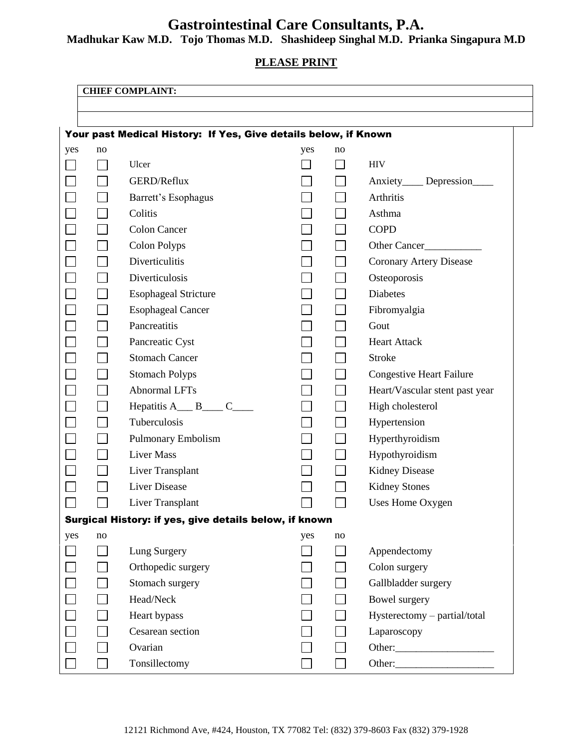# **Gastrointestinal Care Consultants, P.A.**

**Madhukar Kaw M.D. Tojo Thomas M.D. Shashideep Singhal M.D. Prianka Singapura M.D**

**PLEASE PRINT**

|     |                                                                 | <b>CHIEF COMPLAINT:</b>                                                |                          |    |                                 |  |  |
|-----|-----------------------------------------------------------------|------------------------------------------------------------------------|--------------------------|----|---------------------------------|--|--|
|     |                                                                 |                                                                        |                          |    |                                 |  |  |
|     |                                                                 |                                                                        |                          |    |                                 |  |  |
|     | Your past Medical History: If Yes, Give details below, if Known |                                                                        |                          |    |                                 |  |  |
| yes | no                                                              |                                                                        | yes                      | no |                                 |  |  |
|     |                                                                 | Ulcer                                                                  | $\overline{\phantom{0}}$ |    | <b>HIV</b>                      |  |  |
|     |                                                                 | GERD/Reflux                                                            |                          |    | Anxiety_____ Depression____     |  |  |
|     |                                                                 | Barrett's Esophagus                                                    |                          |    | Arthritis                       |  |  |
|     |                                                                 | Colitis                                                                |                          |    | Asthma                          |  |  |
|     |                                                                 | <b>Colon Cancer</b>                                                    |                          |    | <b>COPD</b>                     |  |  |
|     |                                                                 | <b>Colon Polyps</b>                                                    |                          |    | Other Cancer                    |  |  |
|     |                                                                 | Diverticulitis                                                         |                          |    | Coronary Artery Disease         |  |  |
|     |                                                                 | Diverticulosis                                                         |                          |    | Osteoporosis                    |  |  |
|     |                                                                 | <b>Esophageal Stricture</b>                                            |                          |    | <b>Diabetes</b>                 |  |  |
|     |                                                                 | <b>Esophageal Cancer</b>                                               |                          |    | Fibromyalgia                    |  |  |
|     |                                                                 | Pancreatitis                                                           |                          |    | Gout                            |  |  |
|     |                                                                 | Pancreatic Cyst                                                        |                          |    | <b>Heart Attack</b>             |  |  |
|     |                                                                 | <b>Stomach Cancer</b>                                                  |                          |    | <b>Stroke</b>                   |  |  |
|     |                                                                 | <b>Stomach Polyps</b>                                                  |                          |    | <b>Congestive Heart Failure</b> |  |  |
|     |                                                                 | <b>Abnormal LFTs</b>                                                   |                          |    | Heart/Vascular stent past year  |  |  |
|     |                                                                 | Hepatitis $A_$ <sub><i>B</i></sub> $B_$ <i>C</i> <sub><i>___</i></sub> |                          |    | High cholesterol                |  |  |
|     |                                                                 | Tuberculosis                                                           |                          |    | Hypertension                    |  |  |
|     |                                                                 | <b>Pulmonary Embolism</b>                                              |                          |    | Hyperthyroidism                 |  |  |
|     |                                                                 | <b>Liver Mass</b>                                                      |                          |    | Hypothyroidism                  |  |  |
|     |                                                                 | Liver Transplant                                                       |                          |    | <b>Kidney Disease</b>           |  |  |
|     |                                                                 | <b>Liver Disease</b>                                                   |                          |    | <b>Kidney Stones</b>            |  |  |
|     |                                                                 | Liver Transplant                                                       |                          |    | Uses Home Oxygen                |  |  |
|     | Surgical History: if yes, give details below, if known          |                                                                        |                          |    |                                 |  |  |
| yes | no                                                              |                                                                        | yes                      | no |                                 |  |  |
|     |                                                                 | Lung Surgery                                                           |                          |    | Appendectomy                    |  |  |
|     |                                                                 | Orthopedic surgery                                                     |                          |    | Colon surgery                   |  |  |
|     |                                                                 | Stomach surgery                                                        |                          |    | Gallbladder surgery             |  |  |
|     |                                                                 | Head/Neck                                                              | $\blacksquare$           |    | Bowel surgery                   |  |  |
|     |                                                                 | Heart bypass                                                           |                          |    | Hysterectomy - partial/total    |  |  |
|     |                                                                 | Cesarean section                                                       |                          |    | Laparoscopy                     |  |  |
|     |                                                                 | Ovarian                                                                |                          |    |                                 |  |  |
|     |                                                                 | Tonsillectomy                                                          |                          |    |                                 |  |  |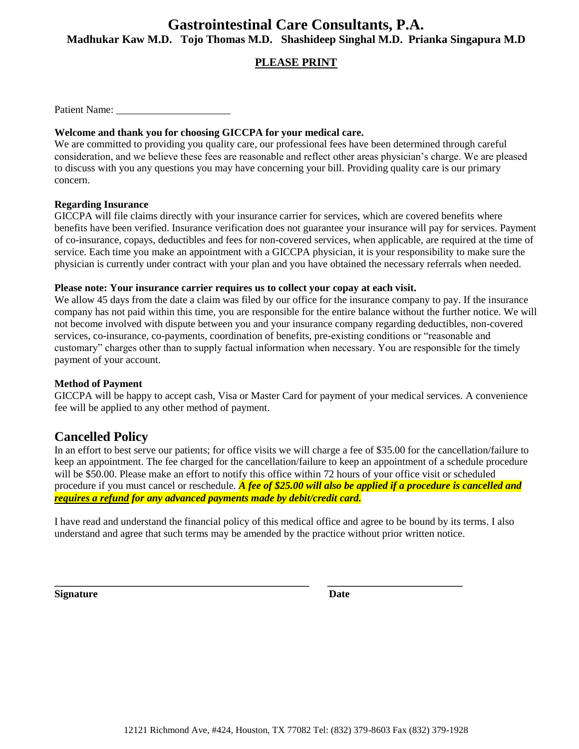### **PLEASE PRINT**

Patient Name:

#### **Welcome and thank you for choosing GICCPA for your medical care.**

We are committed to providing you quality care, our professional fees have been determined through careful consideration, and we believe these fees are reasonable and reflect other areas physician's charge. We are pleased to discuss with you any questions you may have concerning your bill. Providing quality care is our primary concern.

#### **Regarding Insurance**

GICCPA will file claims directly with your insurance carrier for services, which are covered benefits where benefits have been verified. Insurance verification does not guarantee your insurance will pay for services. Payment of co-insurance, copays, deductibles and fees for non-covered services, when applicable, are required at the time of service. Each time you make an appointment with a GICCPA physician, it is your responsibility to make sure the physician is currently under contract with your plan and you have obtained the necessary referrals when needed.

#### **Please note: Your insurance carrier requires us to collect your copay at each visit.**

We allow 45 days from the date a claim was filed by our office for the insurance company to pay. If the insurance company has not paid within this time, you are responsible for the entire balance without the further notice. We will not become involved with dispute between you and your insurance company regarding deductibles, non-covered services, co-insurance, co-payments, coordination of benefits, pre-existing conditions or "reasonable and customary" charges other than to supply factual information when necessary. You are responsible for the timely payment of your account.

#### **Method of Payment**

GICCPA will be happy to accept cash, Visa or Master Card for payment of your medical services. A convenience fee will be applied to any other method of payment.

### **Cancelled Policy**

In an effort to best serve our patients; for office visits we will charge a fee of \$35.00 for the cancellation/failure to keep an appointment. The fee charged for the cancellation/failure to keep an appointment of a schedule procedure will be \$50.00. Please make an effort to notify this office within 72 hours of your office visit or scheduled procedure if you must cancel or reschedule*. A fee of \$25.00 will also be applied if a procedure is cancelled and requires a refund for any advanced payments made by debit/credit card.*

I have read and understand the financial policy of this medical office and agree to be bound by its terms. I also understand and agree that such terms may be amended by the practice without prior written notice.

**\_\_\_\_\_\_\_\_\_\_\_\_\_\_\_\_\_\_\_\_\_\_\_\_\_\_\_\_\_\_\_\_\_\_\_\_\_\_\_\_\_\_\_\_\_\_\_\_\_ \_\_\_\_\_\_\_\_\_\_\_\_\_\_\_\_\_\_\_\_\_\_\_\_\_\_**

**Signature** Date